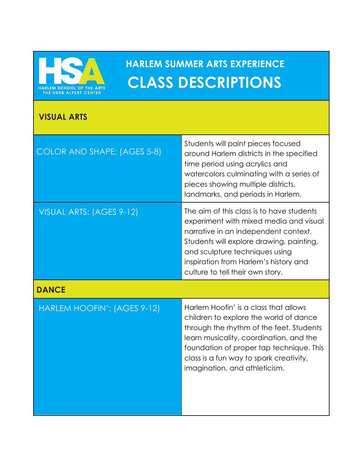

## **HARLEM SUMMER ARTS EXPERIENCE CLASS DESCRIPTIONS**

## **VISUAL ARTS**

| <b>COLOR AND SHAPE: (AGES 5-8)</b> | Students will paint pieces focused<br>around Harlem districts in the specified<br>time period using acrylics and<br>watercolors culminating with a series of<br>pieces showing multiple districts,<br>landmarks, and periods in Harlem.                                                        |
|------------------------------------|------------------------------------------------------------------------------------------------------------------------------------------------------------------------------------------------------------------------------------------------------------------------------------------------|
| VISUAL ARTS: (AGES 9-12)           | The aim of this class is to have students<br>experiment with mixed media and visual<br>narrative in an independent context.<br>Students will explore drawing, painting,<br>and sculpture techniques using<br>inspiration from Harlem's history and<br>culture to tell their own story.         |
| <b>DANCE</b>                       |                                                                                                                                                                                                                                                                                                |
| HARLEM HOOFIN': (AGES 9-12)        | Harlem Hoofin' is a class that allows<br>children to explore the world of dance<br>through the rhythm of the feet. Students<br>learn musicality, coordination, and the<br>foundation of proper tap technique. This<br>class is a fun way to spark creativity,<br>imagination, and athleticism. |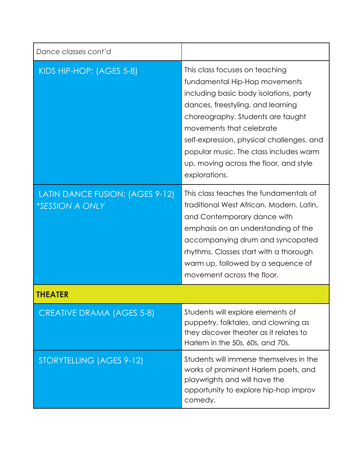| Dance classes cont'd                                             |                                                                                                                                                                                                                                                                                                                                                                   |  |
|------------------------------------------------------------------|-------------------------------------------------------------------------------------------------------------------------------------------------------------------------------------------------------------------------------------------------------------------------------------------------------------------------------------------------------------------|--|
| KIDS HIP-HOP: (AGES 5-8)                                         | This class focuses on teaching<br>fundamental Hip-Hop movements<br>including basic body isolations, party<br>dances, freestyling, and learning<br>choreography. Students are taught<br>movements that celebrate<br>self-expression, physical challenges, and<br>popular music. The class includes warm<br>up, moving across the floor, and style<br>explorations. |  |
| LATIN DANCE FUSION: (AGES 9-12)<br><i><b>*SESSION A ONLY</b></i> | This class teaches the fundamentals of<br>traditional West African, Modern, Latin,<br>and Contemporary dance with<br>emphasis on an understanding of the<br>accompanying drum and syncopated<br>rhythms. Classes start with a thorough<br>warm up, followed by a sequence of<br>movement across the floor.                                                        |  |
|                                                                  |                                                                                                                                                                                                                                                                                                                                                                   |  |
| <b>CREATIVE DRAMA (AGES 5-8)</b>                                 | Students will explore elements of<br>puppetry, folktales, and clowning as<br>they discover theater as it relates to<br>Harlem in the 50s, 60s, and 70s.                                                                                                                                                                                                           |  |
| STORYTELLING (AGES 9-12)                                         | Students will immerse themselves in the<br>works of prominent Harlem poets, and<br>playwrights and will have the<br>opportunity to explore hip-hop improv<br>comedy.                                                                                                                                                                                              |  |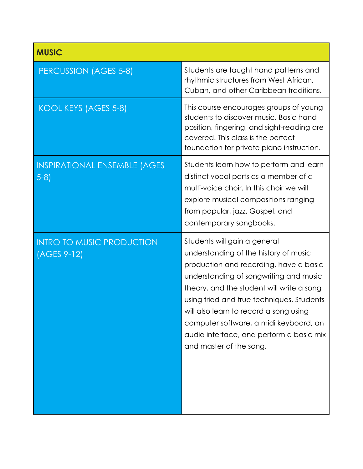| <b>MUSIC</b>                                    |                                                                                                                                                                                                                                                                                                                                                                                                                |
|-------------------------------------------------|----------------------------------------------------------------------------------------------------------------------------------------------------------------------------------------------------------------------------------------------------------------------------------------------------------------------------------------------------------------------------------------------------------------|
| <b>PERCUSSION (AGES 5-8)</b>                    | Students are taught hand patterns and<br>rhythmic structures from West African,<br>Cuban, and other Caribbean traditions.                                                                                                                                                                                                                                                                                      |
| KOOL KEYS (AGES 5-8)                            | This course encourages groups of young<br>students to discover music. Basic hand<br>position, fingering, and sight-reading are<br>covered. This class is the perfect<br>foundation for private piano instruction.                                                                                                                                                                                              |
| <b>INSPIRATIONAL ENSEMBLE (AGES</b><br>$5-8$    | Students learn how to perform and learn<br>distinct vocal parts as a member of a<br>multi-voice choir. In this choir we will<br>explore musical compositions ranging<br>from popular, jazz, Gospel, and<br>contemporary songbooks.                                                                                                                                                                             |
| <b>INTRO TO MUSIC PRODUCTION</b><br>(AGES 9-12) | Students will gain a general<br>understanding of the history of music<br>production and recording, have a basic<br>understanding of songwriting and music<br>theory, and the student will write a song<br>using tried and true techniques. Students<br>will also learn to record a song using<br>computer software, a midi keyboard, an<br>audio interface, and perform a basic mix<br>and master of the song. |